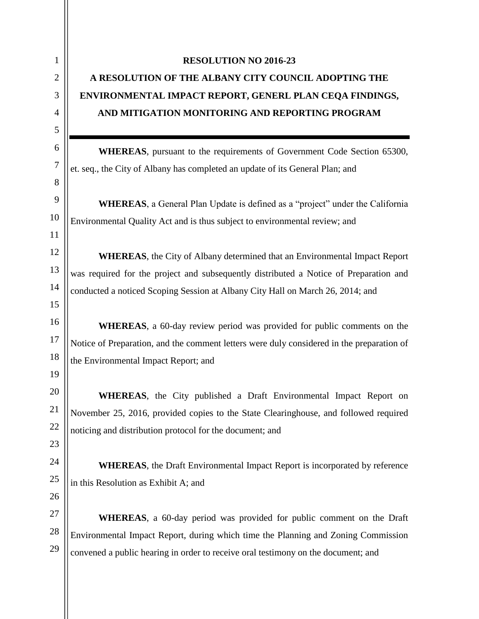## **RESOLUTION NO 2016-23**

## **A RESOLUTION OF THE ALBANY CITY COUNCIL ADOPTING THE ENVIRONMENTAL IMPACT REPORT, GENERL PLAN CEQA FINDINGS, AND MITIGATION MONITORING AND REPORTING PROGRAM**

**WHEREAS**, pursuant to the requirements of Government Code Section 65300, et. seq., the City of Albany has completed an update of its General Plan; and

**WHEREAS**, a General Plan Update is defined as a "project" under the California Environmental Quality Act and is thus subject to environmental review; and

**WHEREAS**, the City of Albany determined that an Environmental Impact Report was required for the project and subsequently distributed a Notice of Preparation and conducted a noticed Scoping Session at Albany City Hall on March 26, 2014; and

**WHEREAS**, a 60-day review period was provided for public comments on the Notice of Preparation, and the comment letters were duly considered in the preparation of the Environmental Impact Report; and

**WHEREAS**, the City published a Draft Environmental Impact Report on November 25, 2016, provided copies to the State Clearinghouse, and followed required noticing and distribution protocol for the document; and

**WHEREAS**, the Draft Environmental Impact Report is incorporated by reference in this Resolution as Exhibit A; and

**WHEREAS**, a 60-day period was provided for public comment on the Draft Environmental Impact Report, during which time the Planning and Zoning Commission convened a public hearing in order to receive oral testimony on the document; and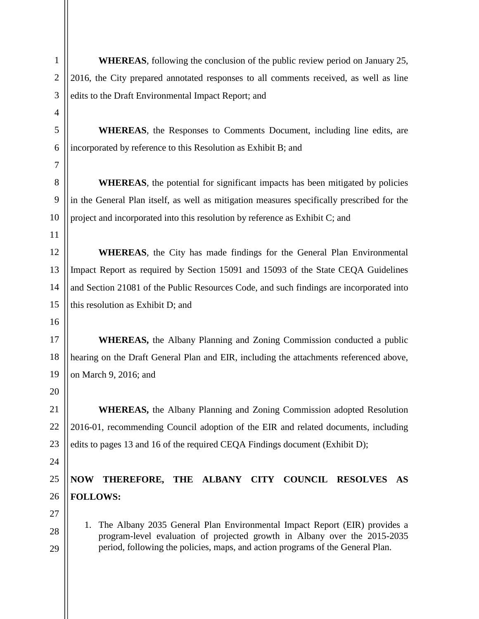**WHEREAS**, following the conclusion of the public review period on January 25, 2016, the City prepared annotated responses to all comments received, as well as line edits to the Draft Environmental Impact Report; and

**WHEREAS**, the Responses to Comments Document, including line edits, are incorporated by reference to this Resolution as Exhibit B; and

**WHEREAS**, the potential for significant impacts has been mitigated by policies in the General Plan itself, as well as mitigation measures specifically prescribed for the project and incorporated into this resolution by reference as Exhibit C; and

**WHEREAS**, the City has made findings for the General Plan Environmental Impact Report as required by Section 15091 and 15093 of the State CEQA Guidelines and Section 21081 of the Public Resources Code, and such findings are incorporated into this resolution as Exhibit D; and

**WHEREAS,** the Albany Planning and Zoning Commission conducted a public hearing on the Draft General Plan and EIR, including the attachments referenced above, on March 9, 2016; and

**WHEREAS,** the Albany Planning and Zoning Commission adopted Resolution 2016-01, recommending Council adoption of the EIR and related documents, including edits to pages 13 and 16 of the required CEQA Findings document (Exhibit D);

## **NOW THEREFORE, THE ALBANY CITY COUNCIL RESOLVES AS FOLLOWS:**

1. The Albany 2035 General Plan Environmental Impact Report (EIR) provides a program-level evaluation of projected growth in Albany over the 2015-2035 period, following the policies, maps, and action programs of the General Plan.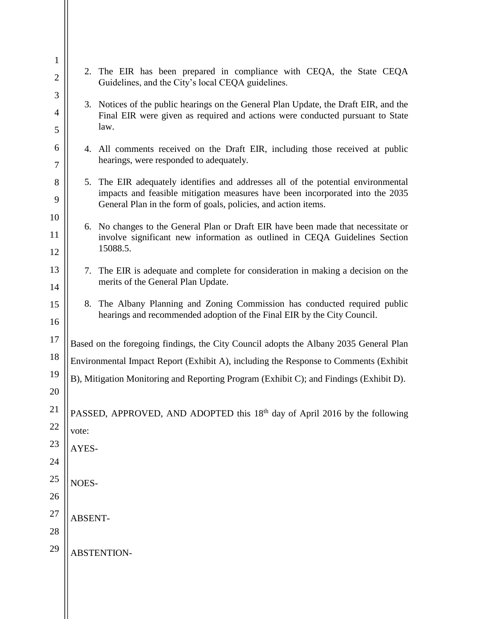| $\mathbf{1}$   |                                                                                      | 2. The EIR has been prepared in compliance with CEQA, the State CEQA                                                                                               |
|----------------|--------------------------------------------------------------------------------------|--------------------------------------------------------------------------------------------------------------------------------------------------------------------|
| $\overline{2}$ |                                                                                      | Guidelines, and the City's local CEQA guidelines.                                                                                                                  |
| 3              |                                                                                      | 3. Notices of the public hearings on the General Plan Update, the Draft EIR, and the                                                                               |
| $\overline{4}$ |                                                                                      | Final EIR were given as required and actions were conducted pursuant to State<br>law.                                                                              |
| 5              |                                                                                      |                                                                                                                                                                    |
| 6              |                                                                                      | 4. All comments received on the Draft EIR, including those received at public                                                                                      |
| $\tau$         |                                                                                      | hearings, were responded to adequately.                                                                                                                            |
| 8              |                                                                                      | 5. The EIR adequately identifies and addresses all of the potential environmental<br>impacts and feasible mitigation measures have been incorporated into the 2035 |
| 9              |                                                                                      | General Plan in the form of goals, policies, and action items.                                                                                                     |
| 10             |                                                                                      | 6. No changes to the General Plan or Draft EIR have been made that necessitate or                                                                                  |
| 11<br>12       |                                                                                      | involve significant new information as outlined in CEQA Guidelines Section<br>15088.5.                                                                             |
|                |                                                                                      |                                                                                                                                                                    |
| 13             |                                                                                      | 7. The EIR is adequate and complete for consideration in making a decision on the<br>merits of the General Plan Update.                                            |
| 14             |                                                                                      |                                                                                                                                                                    |
| 15             |                                                                                      | 8. The Albany Planning and Zoning Commission has conducted required public<br>hearings and recommended adoption of the Final EIR by the City Council.              |
| 16             |                                                                                      |                                                                                                                                                                    |
| 17             |                                                                                      | Based on the foregoing findings, the City Council adopts the Albany 2035 General Plan                                                                              |
| 18             | Environmental Impact Report (Exhibit A), including the Response to Comments (Exhibit |                                                                                                                                                                    |
| 19             |                                                                                      | B), Mitigation Monitoring and Reporting Program (Exhibit C); and Findings (Exhibit D).                                                                             |
| 20             |                                                                                      |                                                                                                                                                                    |
| 21             |                                                                                      | PASSED, APPROVED, AND ADOPTED this 18 <sup>th</sup> day of April 2016 by the following                                                                             |
| 22             | vote:                                                                                |                                                                                                                                                                    |
| 23             | AYES-                                                                                |                                                                                                                                                                    |
| $24\,$         |                                                                                      |                                                                                                                                                                    |
| $25\,$         | NOES-                                                                                |                                                                                                                                                                    |
| 26             |                                                                                      |                                                                                                                                                                    |
| $27\,$         | ABSENT-                                                                              |                                                                                                                                                                    |
| $28\,$         |                                                                                      |                                                                                                                                                                    |
| 29             |                                                                                      |                                                                                                                                                                    |
|                |                                                                                      | ABSTENTION-                                                                                                                                                        |
|                |                                                                                      |                                                                                                                                                                    |
|                |                                                                                      |                                                                                                                                                                    |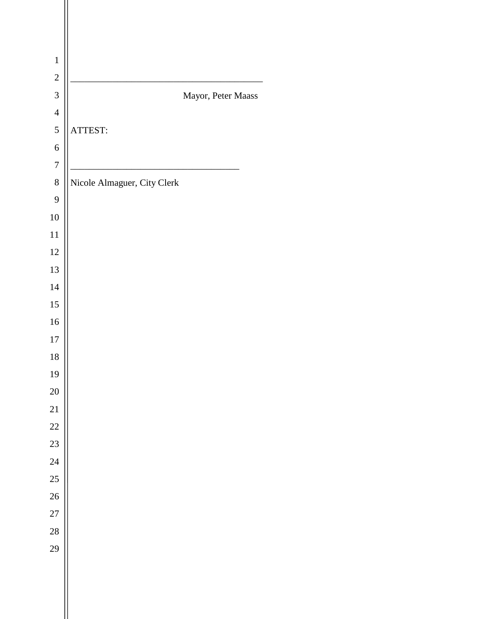| $\mathbf{1}$     |                             |
|------------------|-----------------------------|
| $\overline{c}$   |                             |
| $\overline{3}$   | Mayor, Peter Maass          |
| $\overline{4}$   |                             |
| 5                | ATTEST:                     |
| $\overline{6}$   |                             |
| $\boldsymbol{7}$ |                             |
| $\,8$            | Nicole Almaguer, City Clerk |
| 9                |                             |
| 10               |                             |
| 11               |                             |
| 12               |                             |
| 13               |                             |
| 14               |                             |
| 15               |                             |
| 16               |                             |
| $17\,$           |                             |
| 18               |                             |
| 19               |                             |
| 20               |                             |
| 21               |                             |
| $\overline{22}$  |                             |
| 23               |                             |
| 24               |                             |
| 25               |                             |
| 26               |                             |
| 27               |                             |
| 28               |                             |
| 29               |                             |
|                  |                             |
|                  |                             |

Ш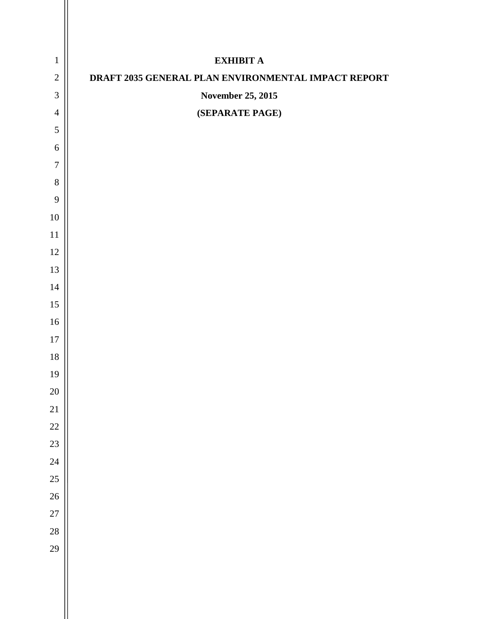| $\mathbf{1}$     | <b>EXHIBIT A</b>                                    |
|------------------|-----------------------------------------------------|
| $\overline{2}$   | DRAFT 2035 GENERAL PLAN ENVIRONMENTAL IMPACT REPORT |
| $\mathfrak{Z}$   | November 25, 2015                                   |
| $\overline{4}$   | (SEPARATE PAGE)                                     |
| $\overline{5}$   |                                                     |
| $\sqrt{6}$       |                                                     |
| $\boldsymbol{7}$ |                                                     |
| $8\,$            |                                                     |
| $\overline{9}$   |                                                     |
| $10\,$           |                                                     |
| $11\,$           |                                                     |
| $12\,$           |                                                     |
| 13               |                                                     |
| 14               |                                                     |
| 15               |                                                     |
| $16\,$           |                                                     |
| $17\,$           |                                                     |
| $18\,$           |                                                     |
| 19               |                                                     |
| $20\,$           |                                                     |
| 21               |                                                     |
| 22               |                                                     |
| 23               |                                                     |
| 24               |                                                     |
| 25               |                                                     |
| 26               |                                                     |
| 27               |                                                     |
| 28               |                                                     |
| 29               |                                                     |
|                  |                                                     |
|                  |                                                     |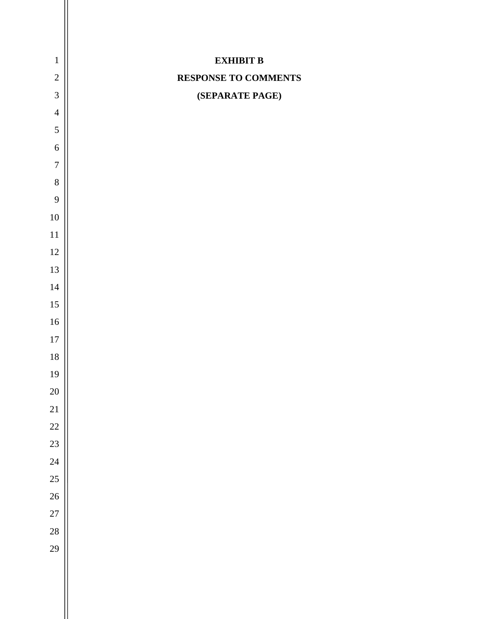| $\mathbf{1}$     | <b>EXHIBIT B</b>     |
|------------------|----------------------|
| $\sqrt{2}$       | RESPONSE TO COMMENTS |
| $\mathfrak{Z}$   | (SEPARATE PAGE)      |
| $\overline{4}$   |                      |
| $\mathfrak s$    |                      |
| 6                |                      |
| $\boldsymbol{7}$ |                      |
| $\,8\,$          |                      |
| 9                |                      |
| $10\,$           |                      |
| $11\,$           |                      |
| $12\,$           |                      |
| 13               |                      |
| $14\,$           |                      |
| $15\,$           |                      |
| $16\,$           |                      |
| $17\,$           |                      |
| $18\,$           |                      |
| 19               |                      |
| 20               |                      |
| 21               |                      |
| 22               |                      |
| 23               |                      |
| 24               |                      |
| 25               |                      |
| $26\text{ }$     |                      |
| 27               |                      |
| 28               |                      |
| 29               |                      |
|                  |                      |
|                  |                      |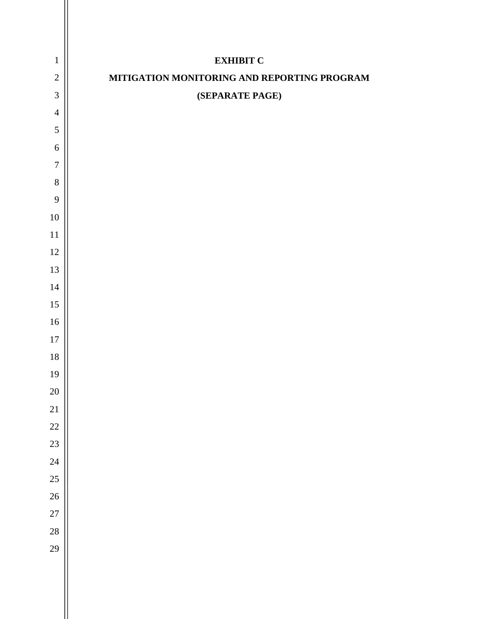| $\mathbf{1}$   | <b>EXHIBIT C</b>                            |
|----------------|---------------------------------------------|
| $\sqrt{2}$     | MITIGATION MONITORING AND REPORTING PROGRAM |
| $\mathfrak{Z}$ | (SEPARATE PAGE)                             |
| $\overline{4}$ |                                             |
| $\sqrt{5}$     |                                             |
| 6              |                                             |
| $\overline{7}$ |                                             |
| $8\,$          |                                             |
| 9              |                                             |
| $10\,$         |                                             |
| $11\,$         |                                             |
| $12\,$         |                                             |
| 13             |                                             |
| 14             |                                             |
| 15             |                                             |
| 16             |                                             |
| $17\,$         |                                             |
| $18\,$         |                                             |
| 19             |                                             |
| 20             |                                             |
| $21\,$         |                                             |
| 22             |                                             |
| 23             |                                             |
| 24             |                                             |
| 25             |                                             |
| 26             |                                             |
| $27\,$         |                                             |
| 28             |                                             |
| 29             |                                             |
|                |                                             |
|                |                                             |